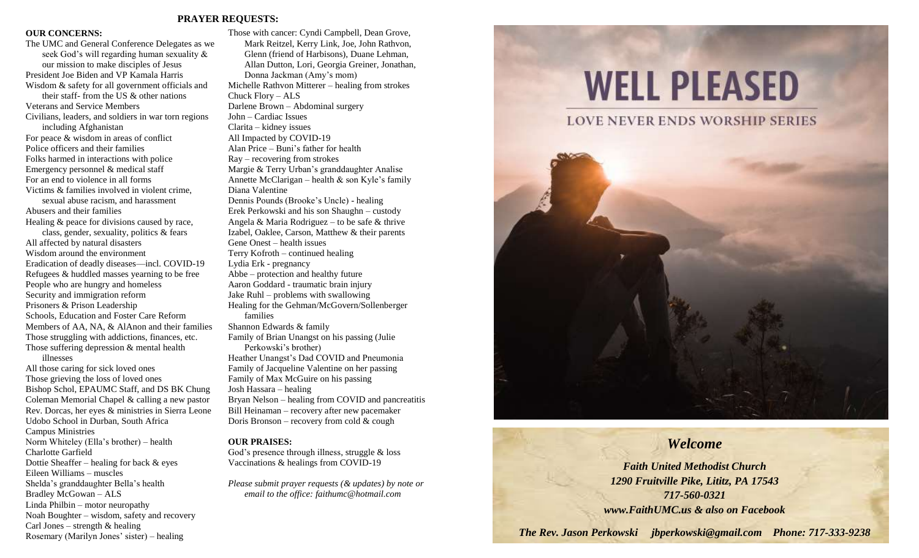#### **PRAYER REQUESTS:**

#### **OUR CONCERNS:**

The UMC and General Conference Delegates as we seek God's will regarding human sexuality & our mission to make disciples of Jesus President Joe Biden and VP Kamala Harris Wisdom & safety for all government officials and their staff- from the US & other nations Veterans and Service Members Civilians, leaders, and soldiers in war torn regions including Afghanistan For peace & wisdom in areas of conflict Police officers and their families Folks harmed in interactions with police Emergency personnel & medical staff For an end to violence in all forms Victims & families involved in violent crime, sexual abuse racism, and harassment Abusers and their families Healing & peace for divisions caused by race, class, gender, sexuality, politics & fears All affected by natural disasters Wisdom around the environment Eradication of deadly diseases—incl. COVID-19 Refugees & huddled masses yearning to be free People who are hungry and homeless Security and immigration reform Prisoners & Prison Leadership Schools, Education and Foster Care Reform Members of AA, NA, & AlAnon and their families Those struggling with addictions, finances, etc. Those suffering depression & mental health illnesses All those caring for sick loved ones Those grieving the loss of loved ones Bishop Schol, EPAUMC Staff, and DS BK Chung Coleman Memorial Chapel & calling a new pastor Rev. Dorcas, her eyes & ministries in Sierra Leone Udobo School in Durban, South Africa Campus Ministries Norm Whiteley (Ella's brother) – health Charlotte Garfield

Dottie Sheaffer – healing for back & eyes Eileen Williams – muscles Shelda's granddaughter Bella's health Bradley McGowan – ALS Linda Philbin – motor neuropathy Noah Boughter – wisdom, safety and recovery Carl Jones – strength  $&$  healing

Rosemary (Marilyn Jones' sister) – healing

Those with cancer: Cyndi Campbell, Dean Grove, Mark Reitzel, Kerry Link, Joe, John Rathvon, Glenn (friend of Harbisons), Duane Lehman, Allan Dutton, Lori, Georgia Greiner, Jonathan, Donna Jackman (Amy's mom) Michelle Rathvon Mitterer – healing from strokes Chuck Flory – ALS Darlene Brown – Abdominal surgery John – Cardiac Issues Clarita – kidney issues All Impacted by COVID-19 Alan Price – Buni's father for health Ray – recovering from strokes Margie & Terry Urban's granddaughter Analise Annette McClarigan – health  $\&$  son Kyle's family Diana Valentine Dennis Pounds (Brooke's Uncle) - healing Erek Perkowski and his son Shaughn – custody Angela & Maria Rodriguez – to be safe & thrive Izabel, Oaklee, Carson, Matthew & their parents Gene Onest – health issues Terry Kofroth – continued healing Lydia Erk - pregnancy Abbe – protection and healthy future Aaron Goddard - traumatic brain injury Jake Ruhl – problems with swallowing Healing for the Gehman/McGovern/Sollenberger families Shannon Edwards & family Family of Brian Unangst on his passing (Julie Perkowski's brother) Heather Unangst's Dad COVID and Pneumonia Family of Jacqueline Valentine on her passing Family of Max McGuire on his passing Josh Hassara – healing Bryan Nelson – healing from COVID and pancreatitis Bill Heinaman – recovery after new pacemaker Doris Bronson – recovery from cold  $&$  cough

#### **OUR PRAISES:**

God's presence through illness, struggle & loss Vaccinations & healings from COVID-19

*Please submit prayer requests (& updates) by note or email to the office: faithumc@hotmail.com*

# **WELL PLEASED**



### *Welcome*

*Faith United Methodist Church 1290 Fruitville Pike, Lititz, PA 17543 717-560-0321 www.FaithUMC.us & also on Facebook*

*The Rev. Jason Perkowski jbperkowski@gmail.com Phone: 717-333-9238*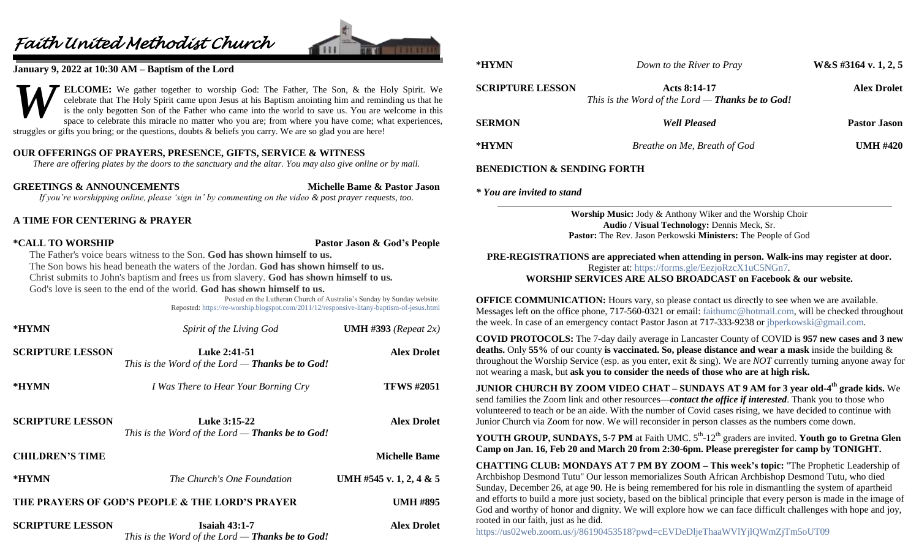## *Faith United Methodist Church*



#### **January 9, 2022 at 10:30 AM – Baptism of the Lord**

**ELCOME:** We gather together to worship God: The Father, The Son, & the Holy Spirit. We celebrate that The Holy Spirit came upon Jesus at his Baptism anointing him and reminding us that he is the only begotten Son of the Father who came into the world to save us. You are welcome in this space to celebrate this miracle no matter who you are; from where you have come; what experiences, struggles or gifts you bring; or the questions, doubts & beliefs you carry. We are so glad you are here! *W*

#### **OUR OFFERINGS OF PRAYERS, PRESENCE, GIFTS, SERVICE & WITNESS**

*There are offering plates by the doors to the sanctuary and the altar. You may also give online or by mail.*

**GREETINGS & ANNOUNCEMENTS Michelle Bame & Pastor Jason**

*If you're worshipping online, please 'sign in' by commenting on the video & post prayer requests, too.*

#### **A TIME FOR CENTERING & PRAYER**

**\*CALL TO WORSHIP Pastor Jason & God's People**

The Father's voice bears witness to the Son. **God has shown himself to us.**

The Son bows his head beneath the waters of the Jordan. **God has shown himself to us.**

Christ submits to John's baptism and frees us from slavery. **God has shown himself to us.**

God's love is seen to the end of the world. **God has shown himself to us.**

Posted on the Lutheran Church of Australia's Sunday by Sunday website. Reposted:<https://re-worship.blogspot.com/2011/12/responsive-litany-baptism-of-jesus.html>

| *HYMN                   | Spirit of the Living God                                                | <b>UMH</b> #393 (Repeat 2x) |
|-------------------------|-------------------------------------------------------------------------|-----------------------------|
| <b>SCRIPTURE LESSON</b> | Luke 2:41-51<br>This is the Word of the Lord $-$ Thanks be to God!      | <b>Alex Drolet</b>          |
| *HYMN                   | I Was There to Hear Your Borning Cry                                    | <b>TFWS #2051</b>           |
| <b>SCRIPTURE LESSON</b> | Luke 3:15-22<br>This is the Word of the Lord — <b>Thanks be to God!</b> | <b>Alex Drolet</b>          |
| <b>CHILDREN'S TIME</b>  |                                                                         | <b>Michelle Bame</b>        |
| *HYMN                   | The Church's One Foundation                                             | UMH #545 v. 1, 2, 4 & 5     |
|                         | THE PRAYERS OF GOD'S PEOPLE & THE LORD'S PRAYER                         | <b>UMH #895</b>             |
| <b>SCRIPTURE LESSON</b> | Isaiah $43:1-7$<br>This is the Word of the Lord $-$ Thanks be to God!   | <b>Alex Drolet</b>          |

| *HYMN                                  | Down to the River to Pray                                                                                       | $W&S$ #3164 v. 1, 2, 5 |  |
|----------------------------------------|-----------------------------------------------------------------------------------------------------------------|------------------------|--|
| <b>SCRIPTURE LESSON</b>                | Acts 8:14-17<br>This is the Word of the Lord $-$ Thanks be to God!                                              | <b>Alex Drolet</b>     |  |
| <b>SERMON</b>                          | <b>Well Pleased</b>                                                                                             | <b>Pastor Jason</b>    |  |
| *HYMN                                  | Breathe on Me, Breath of God                                                                                    | UMH $\#420$            |  |
| <b>BENEDICTION &amp; SENDING FORTH</b> |                                                                                                                 |                        |  |
| * You are invited to stand             |                                                                                                                 |                        |  |
|                                        | <b>Worship Music:</b> Jody & Anthony Wiker and the Worship Choir<br>Audio / Visual Technology: Dennis Meck, Sr. |                        |  |

**Pastor:** The Rev. Jason Perkowski **Ministers:** The People of God

**PRE-REGISTRATIONS are appreciated when attending in person. Walk-ins may register at door.**  Register at:<https://forms.gle/EezjoRzcX1uC5NGn7>*.* **WORSHIP SERVICES ARE ALSO BROADCAST on Facebook & our website.**

**OFFICE COMMUNICATION:** Hours vary, so please contact us directly to see when we are available. Messages left on the office phone, 717-560-0321 or email: [faithumc@hotmail.com,](mailto:faithumc@hotmail.com) will be checked throughout the week. In case of an emergency contact Pastor Jason at 717-333-9238 or [jbperkowski@gmail.com.](mailto:jbperkowski@gmail.com)

**COVID PROTOCOLS:** The 7-day daily average in Lancaster County of COVID is **957 new cases and 3 new deaths.** Only **55%** of our county **is vaccinated. So, please distance and wear a mask** inside the building & throughout the Worship Service (esp. as you enter, exit & sing). We are *NOT* currently turning anyone away for not wearing a mask, but **ask you to consider the needs of those who are at high risk.**

**JUNIOR CHURCH BY ZOOM VIDEO CHAT – SUNDAYS AT 9 AM for 3 year old-4 th grade kids.** We send families the Zoom link and other resources—*contact the office if interested*. Thank you to those who volunteered to teach or be an aide. With the number of Covid cases rising, we have decided to continue with Junior Church via Zoom for now. We will reconsider in person classes as the numbers come down.

**YOUTH GROUP, SUNDAYS, 5-7 PM** at Faith UMC.  $5<sup>th</sup>$ -12<sup>th</sup> graders are invited. **Youth go to Gretna Glen Camp on Jan. 16, Feb 20 and March 20 from 2:30-6pm. Please preregister for camp by TONIGHT.**

**CHATTING CLUB: MONDAYS AT 7 PM BY ZOOM – This week's topic:** "The Prophetic Leadership of Archbishop Desmond Tutu" Our lesson memorializes South African Archbishop Desmond Tutu, who died Sunday, December 26, at age 90. He is being remembered for his role in dismantling the system of apartheid and efforts to build a more just society, based on the biblical principle that every person is made in the image of God and worthy of honor and dignity. We will explore how we can face difficult challenges with hope and joy, rooted in our faith, just as he did.

<https://us02web.zoom.us/j/86190453518?pwd=cEVDeDljeThaaWVlYjlQWmZjTm5oUT09>